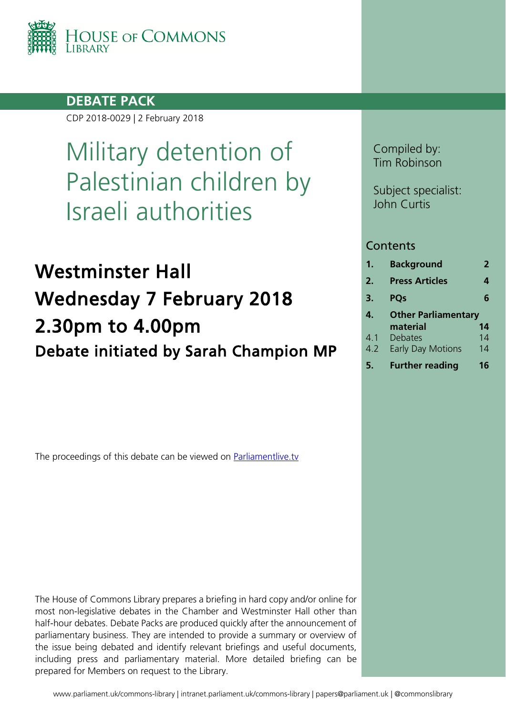

## **DEBATE PACK**

CDP 2018-0029 | 2 February 2018

# Military detention of Palestinian children by Israeli authorities

# Westminster Hall Wednesday 7 February 2018 2.30pm to 4.00pm Debate initiated by Sarah Champion MP

The proceedings of this debate can be viewed on [Parliamentlive.tv](http://www.parliamentlive.tv/Guide)

The House of Commons Library prepares a briefing in hard copy and/or online for most non-legislative debates in the Chamber and Westminster Hall other than half-hour debates. Debate Packs are produced quickly after the announcement of parliamentary business. They are intended to provide a summary or overview of the issue being debated and identify relevant briefings and useful documents, including press and parliamentary material. More detailed briefing can be prepared for Members on request to the Library.

Compiled by: Tim Robinson

Subject specialist: John Curtis

### **Contents**

| 1.  | <b>Background</b>          | 2  |
|-----|----------------------------|----|
| 2.  | <b>Press Articles</b>      | 4  |
| 3.  | <b>POs</b>                 | 6  |
| 4.  | <b>Other Parliamentary</b> |    |
|     | material                   | 14 |
| 4.1 | Debates                    | 14 |
| 4.2 | <b>Early Day Motions</b>   | 14 |
|     | <b>Further reading</b>     | 16 |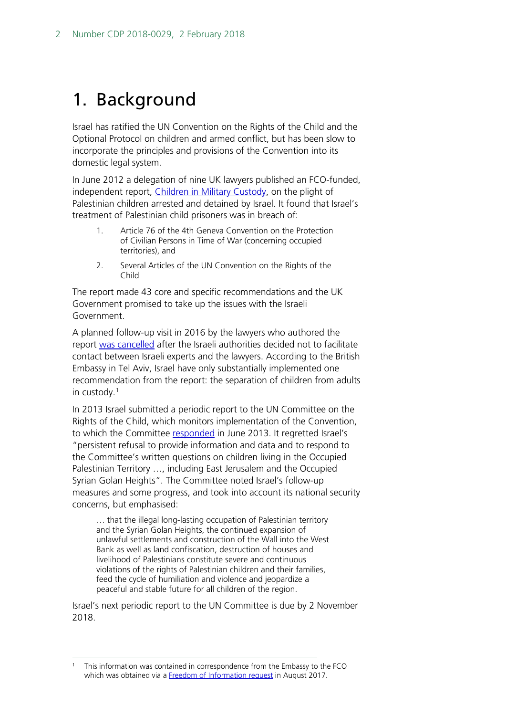## <span id="page-1-0"></span>1. Background

Israel has ratified the UN Convention on the Rights of the Child and the Optional Protocol on children and armed conflict, but has been slow to incorporate the principles and provisions of the Convention into its domestic legal system.

In June 2012 a delegation of nine UK lawyers published an FCO-funded, independent report, [Children in Military Custody,](http://www.childreninmilitarycustody.org.uk/wp-content/uploads/2012/03/Children_in_Military_Custody_Full_Report.pdf) on the plight of Palestinian children arrested and detained by Israel. It found that Israel's treatment of Palestinian child prisoners was in breach of:

- 1. Article 76 of the 4th Geneva Convention on the Protection of Civilian Persons in Time of War (concerning occupied territories), and
- 2. Several Articles of the UN Convention on the Rights of the Child

The report made 43 core and specific recommendations and the UK Government promised to take up the issues with the Israeli Government.

A planned follow-up visit in 2016 by the lawyers who authored the report [was cancelled](https://www.gov.uk/government/publications/the-state-of-israel-and-the-occupied-palestinian-territories-opts-human-rights-priority-country/human-rights-priority-country-update-report-january-to-june-2016) after the Israeli authorities decided not to facilitate contact between Israeli experts and the lawyers. According to the British Embassy in Tel Aviv, Israel have only substantially implemented one recommendation from the report: the separation of children from adults in custody.[1](#page-1-1)

In 2013 Israel submitted a periodic report to the UN Committee on the Rights of the Child, which monitors implementation of the Convention, to which the Committee [responded](http://www2.ohchr.org/english/bodies/crc/docs/co/CRC-C-ISR-CO-2-4.pdf) in June 2013. It regretted Israel's "persistent refusal to provide information and data and to respond to the Committee's written questions on children living in the Occupied Palestinian Territory …, including East Jerusalem and the Occupied Syrian Golan Heights". The Committee noted Israel's follow-up measures and some progress, and took into account its national security concerns, but emphasised:

… that the illegal long-lasting occupation of Palestinian territory and the Syrian Golan Heights, the continued expansion of unlawful settlements and construction of the Wall into the West Bank as well as land confiscation, destruction of houses and livelihood of Palestinians constitute severe and continuous violations of the rights of Palestinian children and their families, feed the cycle of humiliation and violence and jeopardize a peaceful and stable future for all children of the region.

Israel's next periodic report to the UN Committee is due by 2 November 2018.

<span id="page-1-1"></span> <sup>1</sup> This information was contained in correspondence from the Embassy to the FCO which was obtained via a [Freedom of Information request](https://www.gov.uk/government/publications/foi-release-human-rights-abuses-of-palestinian-children) in August 2017.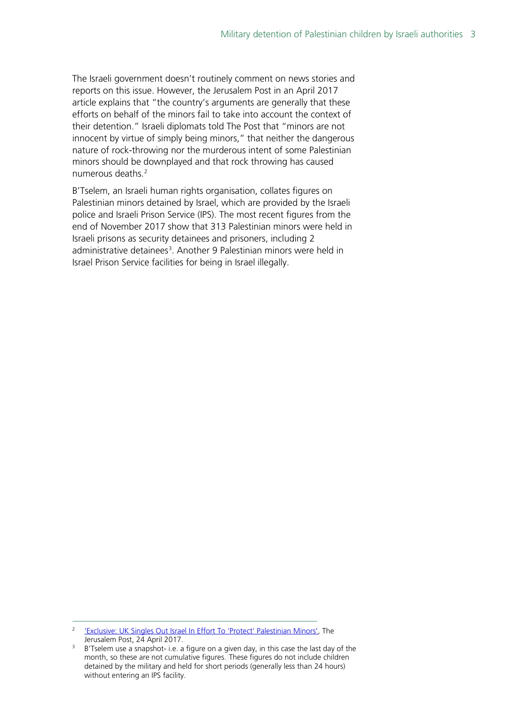The Israeli government doesn't routinely comment on news stories and reports on this issue. However, the Jerusalem Post in an April 2017 article explains that "the country's arguments are generally that these efforts on behalf of the minors fail to take into account the context of their detention." Israeli diplomats told The Post that "minors are not innocent by virtue of simply being minors," that neither the dangerous nature of rock-throwing nor the murderous intent of some Palestinian minors should be downplayed and that rock throwing has caused numerous deaths.[2](#page-2-0)

B'Tselem, an Israeli human rights organisation, collates figures on Palestinian minors detained by Israel, which are provided by the Israeli police and Israeli Prison Service (IPS). The [most recent figures](https://www.btselem.org/statistics/minors_in_custody) from the end of November 2017 show that 313 Palestinian minors were held in Israeli prisons as security detainees and prisoners, including 2 administrative detainees<sup>[3](#page-2-1)</sup>. Another 9 Palestinian minors were held in Israel Prison Service facilities for being in Israel illegally.

<span id="page-2-0"></span><sup>&</sup>lt;sup>2</sup> ['Exclusive: UK Singles Out Israel In Effort To 'Protect' Palestinian Minors',](http://www.jpost.com/Israel-News/Politics-And-Diplomacy/UK-Foreign-Office-ruffles-feathers-in-Jerusalem-488801) The Jerusalem Post, 24 April 2017.

<span id="page-2-1"></span><sup>&</sup>lt;sup>3</sup> B'Tselem use a snapshot- i.e. a figure on a given day, in this case the last day of the month, so these are not cumulative figures. These figures do not include children detained by the military and held for short periods (generally less than 24 hours) without entering an IPS facility.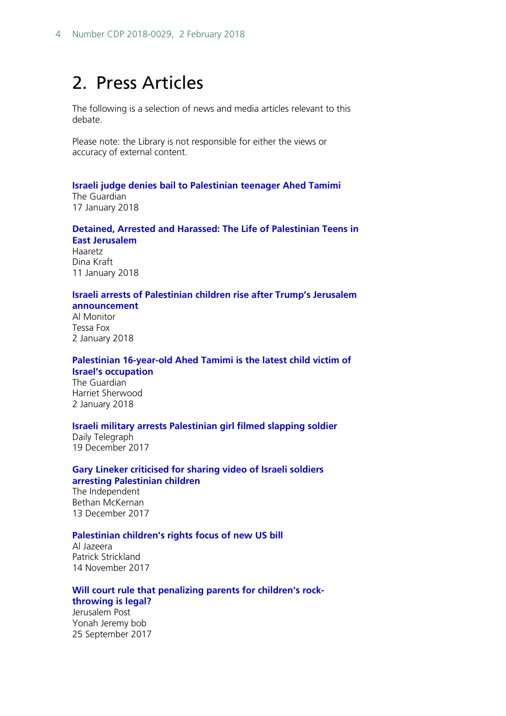## <span id="page-3-0"></span>2. Press Articles

The following is a selection of news and media articles relevant to this debate.

Please note: the Library is not responsible for either the views or accuracy of external content.

#### **[Israeli judge denies bail to Palestinian teenager Ahed Tamimi](https://www.theguardian.com/world/2018/jan/17/israeli-judge-orders-palestinian-teenager-ahed-tamimi-to-be-held-in-custody)**

The Guardian 17 January 2018

#### **[Detained, Arrested and Harassed: The Life of Palestinian Teens in](https://www.haaretz.com/middle-east-news/palestinians/.premium-detained-arrested-and-harassed-the-life-of-palestinian-teens-in-east-jerusalem-1.5730242)  [East Jerusalem](https://www.haaretz.com/middle-east-news/palestinians/.premium-detained-arrested-and-harassed-the-life-of-palestinian-teens-in-east-jerusalem-1.5730242)**

Haaretz Dina Kraft 11 January 2018

#### **[Israeli arrests of Palestinian children rise after Trump's Jerusalem](https://www.al-monitor.com/pulse/en/originals/2018/01/palestine-children-arrest-abuse-israel-trump-jerusalem.html)  [announcement](https://www.al-monitor.com/pulse/en/originals/2018/01/palestine-children-arrest-abuse-israel-trump-jerusalem.html)**

Al Monitor Tessa Fox 2 January 2018

#### **[Palestinian 16-year-old Ahed Tamimi is the latest child victim of](https://www.theguardian.com/commentisfree/2018/jan/02/ahed-tamimi-israel-occupation-palestinian-trauma)  [Israel's occupation](https://www.theguardian.com/commentisfree/2018/jan/02/ahed-tamimi-israel-occupation-palestinian-trauma)**

The Guardian Harriet Sherwood 2 January 2018

#### **[Israeli military arrests Palestinian girl filmed slapping soldier](http://www.telegraph.co.uk/news/2017/12/19/israeli-military-arrests-palestinian-girl-filmed-slapping-soldier/)**

Daily Telegraph 19 December 2017

#### **[Gary Lineker criticised for sharing video of Israeli soldiers](http://www.independent.co.uk/news/world/middle-east/gary-lineker-israel-soldiers-palestinian-children-abuse-blindfold-rocks-idf-twitter-abuse-online-a8108006.html)  [arresting Palestinian children](http://www.independent.co.uk/news/world/middle-east/gary-lineker-israel-soldiers-palestinian-children-abuse-blindfold-rocks-idf-twitter-abuse-online-a8108006.html)**

The Independent Bethan McKernan 13 December 2017

#### **[Palestinian children's rights focus of new US bill](http://www.aljazeera.com/news/2017/11/palestinian-children-rights-focus-bill-171114144332102.html)**

Al Jazeera Patrick Strickland 14 November 2017

#### **[Will court rule that penalizing parents for children's rock](http://www.jpost.com/Arab-Israeli-Conflict/Will-Court-rule-that-penalizing-parents-for-childrens-rock-throwing-is-legal-505962)[throwing is legal?](http://www.jpost.com/Arab-Israeli-Conflict/Will-Court-rule-that-penalizing-parents-for-childrens-rock-throwing-is-legal-505962)**

Jerusalem Post Yonah Jeremy bob 25 September 2017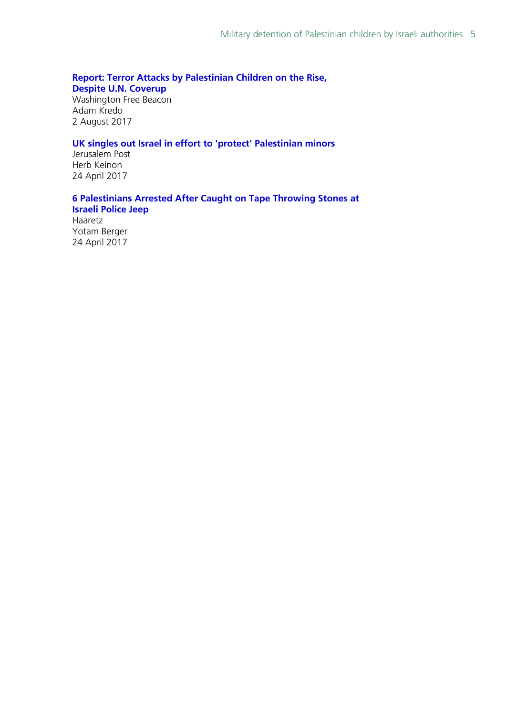#### **[Report: Terror Attacks by Palestinian Children on the Rise,](http://freebeacon.com/national-security/terror-attacks-palestinian-children-rise/)**

**[Despite U.N. Coverup](http://freebeacon.com/national-security/terror-attacks-palestinian-children-rise/)**

Washington Free Beacon Adam Kredo 2 August 2017

#### **[UK singles out Israel in effort to 'protect' Palestinian minors](http://www.jpost.com/Israel-News/Politics-And-Diplomacy/UK-Foreign-Office-ruffles-feathers-in-Jerusalem-488801)**

Jerusalem Post Herb Keinon 24 April 2017

#### **[6 Palestinians Arrested After Caught on Tape Throwing Stones at](https://www.haaretz.com/israel-news/.premium-israel-arrests-6-palestinians-for-allegedly-throwing-stones-at-police-1.5464479)  [Israeli Police Jeep](https://www.haaretz.com/israel-news/.premium-israel-arrests-6-palestinians-for-allegedly-throwing-stones-at-police-1.5464479)**

Haaretz Yotam Berger 24 April 2017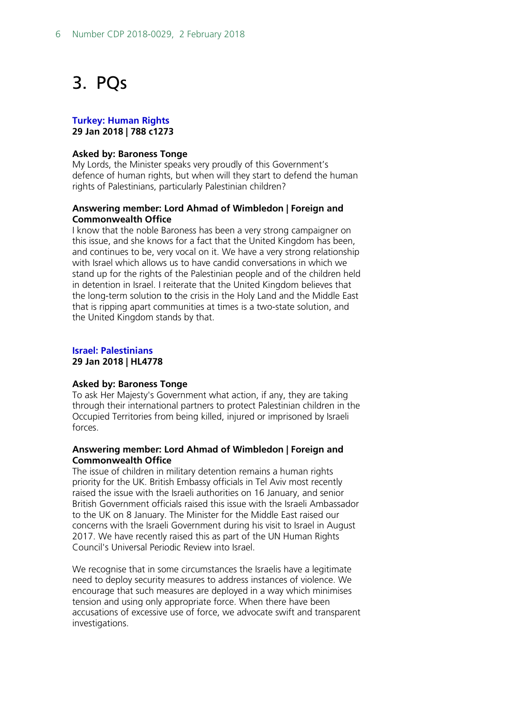## <span id="page-5-0"></span>3. PQs

#### **[Turkey: Human Rights](https://hansard.parliament.uk/Lords/2018-01-29/debates/4B78E4A6-EFF3-453F-96F4-F381A0CB604D/TurkeyHumanRights#contribution-D3D73BF4-87A3-474D-9751-87444A3C4EAF) 29 Jan 2018 | 788 c1273**

#### **Asked by: Baroness Tonge**

My Lords, the Minister speaks very proudly of this Government's defence of human rights, but when will they start to defend the human rights of Palestinians, particularly Palestinian children?

#### **Answering member: Lord Ahmad of Wimbledon | Foreign and Commonwealth Office**

I know that the noble Baroness has been a very strong campaigner on this issue, and she knows for a fact that the United Kingdom has been, and continues to be, very vocal on it. We have a very strong relationship with Israel which allows us to have candid conversations in which we stand up for the rights of the Palestinian people and of the children held in detention in Israel. I reiterate that the United Kingdom believes that the long-term solution to the crisis in the Holy Land and the Middle East that is ripping apart communities at times is a two-state solution, and the United Kingdom stands by that.

#### **[Israel: Palestinians](http://www.parliament.uk/written-questions-answers-statements/written-question/lords/2018-01-16/HL4778) 29 Jan 2018 | HL4778**

#### **Asked by: Baroness Tonge**

To ask Her Majesty's Government what action, if any, they are taking through their international partners to protect Palestinian children in the Occupied Territories from being killed, injured or imprisoned by Israeli forces.

#### **Answering member: Lord Ahmad of Wimbledon | Foreign and Commonwealth Office**

The issue of children in military detention remains a human rights priority for the UK. British Embassy officials in Tel Aviv most recently raised the issue with the Israeli authorities on 16 January, and senior British Government officials raised this issue with the Israeli Ambassador to the UK on 8 January. The Minister for the Middle East raised our concerns with the Israeli Government during his visit to Israel in August 2017. We have recently raised this as part of the UN Human Rights Council's Universal Periodic Review into Israel.

We recognise that in some circumstances the Israelis have a legitimate need to deploy security measures to address instances of violence. We encourage that such measures are deployed in a way which minimises tension and using only appropriate force. When there have been accusations of excessive use of force, we advocate swift and transparent investigations.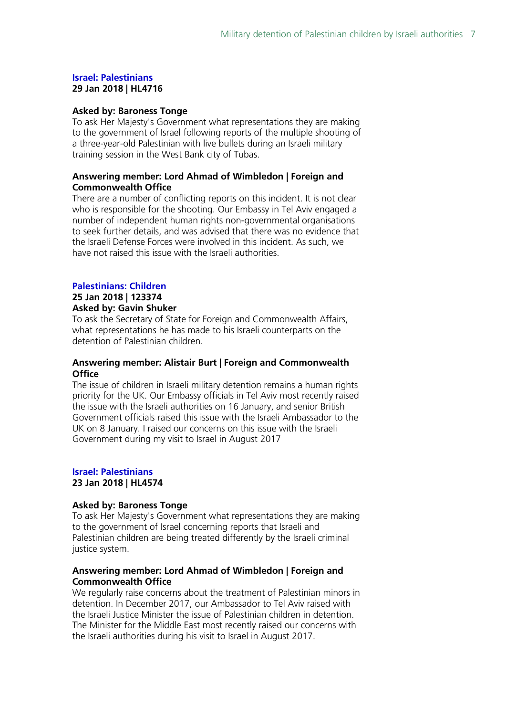#### **[Israel: Palestinians](http://www.parliament.uk/written-questions-answers-statements/written-question/lords/2018-01-15/HL4716) 29 Jan 2018 | HL4716**

#### **Asked by: Baroness Tonge**

To ask Her Majesty's Government what representations they are making to the government of Israel following reports of the multiple shooting of a three-year-old Palestinian with live bullets during an Israeli military training session in the West Bank city of Tubas.

#### **Answering member: Lord Ahmad of Wimbledon | Foreign and Commonwealth Office**

There are a number of conflicting reports on this incident. It is not clear who is responsible for the shooting. Our Embassy in Tel Aviv engaged a number of independent human rights non-governmental organisations to seek further details, and was advised that there was no evidence that the Israeli Defense Forces were involved in this incident. As such, we have not raised this issue with the Israeli authorities.

### **[Palestinians: Children](http://www.parliament.uk/written-questions-answers-statements/written-question/commons/2018-01-17/123374)**

## **25 Jan 2018 | 123374**

#### **Asked by: Gavin Shuker**

To ask the Secretary of State for Foreign and Commonwealth Affairs, what representations he has made to his Israeli counterparts on the detention of Palestinian children.

#### **Answering member: Alistair Burt | Foreign and Commonwealth Office**

The issue of children in Israeli military detention remains a human rights priority for the UK. Our Embassy officials in Tel Aviv most recently raised the issue with the Israeli authorities on 16 January, and senior British Government officials raised this issue with the Israeli Ambassador to the UK on 8 January. I raised our concerns on this issue with the Israeli Government during my visit to Israel in August 2017

#### **[Israel: Palestinians](http://www.parliament.uk/written-questions-answers-statements/written-question/lords/2018-01-09/HL4574) 23 Jan 2018 | HL4574**

#### **Asked by: Baroness Tonge**

To ask Her Majesty's Government what representations they are making to the government of Israel concerning reports that Israeli and Palestinian children are being treated differently by the Israeli criminal justice system.

#### **Answering member: Lord Ahmad of Wimbledon | Foreign and Commonwealth Office**

We regularly raise concerns about the treatment of Palestinian minors in detention. In December 2017, our Ambassador to Tel Aviv raised with the Israeli Justice Minister the issue of Palestinian children in detention. The Minister for the Middle East most recently raised our concerns with the Israeli authorities during his visit to Israel in August 2017.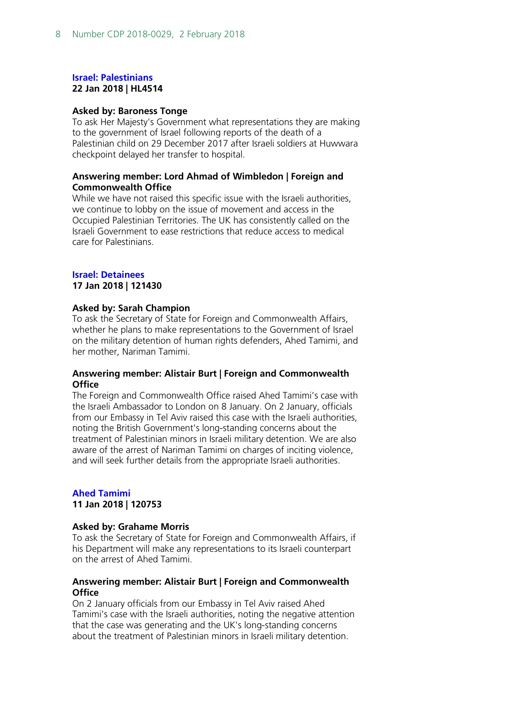#### **[Israel: Palestinians](http://www.parliament.uk/written-questions-answers-statements/written-question/lords/2018-01-08/HL4514) 22 Jan 2018 | HL4514**

#### **Asked by: Baroness Tonge**

To ask Her Majesty's Government what representations they are making to the government of Israel following reports of the death of a Palestinian child on 29 December 2017 after Israeli soldiers at Huwwara checkpoint delayed her transfer to hospital.

#### **Answering member: Lord Ahmad of Wimbledon | Foreign and Commonwealth Office**

While we have not raised this specific issue with the Israeli authorities, we continue to lobby on the issue of movement and access in the Occupied Palestinian Territories. The UK has consistently called on the Israeli Government to ease restrictions that reduce access to medical care for Palestinians.

#### **[Israel: Detainees](http://www.parliament.uk/written-questions-answers-statements/written-question/commons/2018-01-08/121430) 17 Jan 2018 | 121430**

#### **Asked by: Sarah Champion**

To ask the Secretary of State for Foreign and Commonwealth Affairs, whether he plans to make representations to the Government of Israel on the military detention of human rights defenders, Ahed Tamimi, and her mother, Nariman Tamimi.

#### **Answering member: Alistair Burt | Foreign and Commonwealth Office**

The Foreign and Commonwealth Office raised Ahed Tamimi's case with the Israeli Ambassador to London on 8 January. On 2 January, officials from our Embassy in Tel Aviv raised this case with the Israeli authorities, noting the British Government's long-standing concerns about the treatment of Palestinian minors in Israeli military detention. We are also aware of the arrest of Nariman Tamimi on charges of inciting violence, and will seek further details from the appropriate Israeli authorities.

#### **[Ahed Tamimi](http://www.parliament.uk/written-questions-answers-statements/written-question/commons/2017-12-20/120753) 11 Jan 2018 | 120753**

#### **Asked by: Grahame Morris**

To ask the Secretary of State for Foreign and Commonwealth Affairs, if his Department will make any representations to its Israeli counterpart on the arrest of Ahed Tamimi.

#### **Answering member: Alistair Burt | Foreign and Commonwealth Office**

On 2 January officials from our Embassy in Tel Aviv raised Ahed Tamimi's case with the Israeli authorities, noting the negative attention that the case was generating and the UK's long-standing concerns about the treatment of Palestinian minors in Israeli military detention.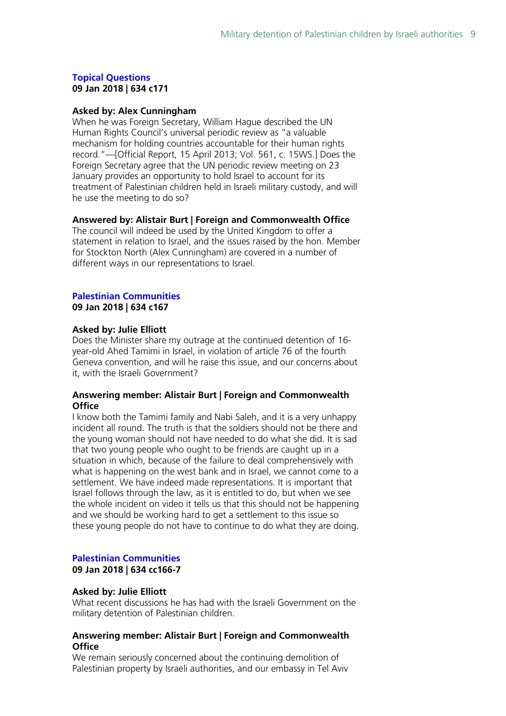#### **[Topical Questions](https://hansard.parliament.uk/pa/cm201719/cmhansrd/cm180109/debtext/180109-0001.htm#8E3BC3B2-2C05-4401-9EB6-E6E717E3D537) 09 Jan 2018 | 634 c171**

#### **Asked by: Alex Cunningham**

When he was Foreign Secretary, William Hague described the UN Human Rights Council's universal periodic review as "a valuable mechanism for holding countries accountable for their human rights record."—[Official Report, 15 April 2013; Vol. 561, c. 15WS.] Does the Foreign Secretary agree that the UN periodic review meeting on 23 January provides an opportunity to hold Israel to account for its treatment of Palestinian children held in Israeli military custody, and will he use the meeting to do so?

#### **Answered by: Alistair Burt | Foreign and Commonwealth Office**

The council will indeed be used by the United Kingdom to offer a statement in relation to Israel, and the issues raised by the hon. Member for Stockton North (Alex Cunningham) are covered in a number of different ways in our representations to Israel.

#### **[Palestinian Communities](https://hansard.parliament.uk/pa/cm201719/cmhansrd/cm180109/debtext/180109-0001.htm#A13D97F5-206A-4FE2-BFDA-77A1B467042B) 09 Jan 2018 | 634 c167**

#### **Asked by: Julie Elliott**

Does the Minister share my outrage at the continued detention of 16 year-old Ahed Tamimi in Israel, in violation of article 76 of the fourth Geneva convention, and will he raise this issue, and our concerns about it, with the Israeli Government?

#### **Answering member: Alistair Burt | Foreign and Commonwealth Office**

I know both the Tamimi family and Nabi Saleh, and it is a very unhappy incident all round. The truth is that the soldiers should not be there and the young woman should not have needed to do what she did. It is sad that two young people who ought to be friends are caught up in a situation in which, because of the failure to deal comprehensively with what is happening on the west bank and in Israel, we cannot come to a settlement. We have indeed made representations. It is important that Israel follows through the law, as it is entitled to do, but when we see the whole incident on video it tells us that this should not be happening and we should be working hard to get a settlement to this issue so these young people do not have to continue to do what they are doing.

#### **[Palestinian Communities](https://hansard.parliament.uk/pa/cm201719/cmhansrd/cm180109/debtext/180109-0001.htm#4D47D11F-63DE-4359-9A4F-8EFCD5F3D4E2) 09 Jan 2018 | 634 cc166-7**

#### **Asked by: Julie Elliott**

What recent discussions he has had with the Israeli Government on the military detention of Palestinian children.

#### **Answering member: Alistair Burt | Foreign and Commonwealth Office**

We remain seriously concerned about the continuing demolition of Palestinian property by Israeli authorities, and our embassy in Tel Aviv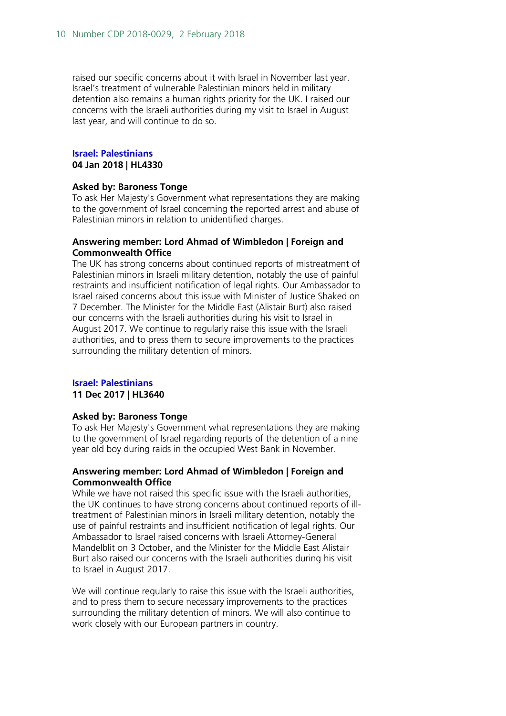raised our specific concerns about it with Israel in November last year. Israel's treatment of vulnerable Palestinian minors held in military detention also remains a human rights priority for the UK. I raised our concerns with the Israeli authorities during my visit to Israel in August last year, and will continue to do so.

#### **[Israel: Palestinians](http://www.parliament.uk/written-questions-answers-statements/written-question/lords/2017-12-19/HL4330) 04 Jan 2018 | HL4330**

#### **Asked by: Baroness Tonge**

To ask Her Majesty's Government what representations they are making to the government of Israel concerning the reported arrest and abuse of Palestinian minors in relation to unidentified charges.

#### **Answering member: Lord Ahmad of Wimbledon | Foreign and Commonwealth Office**

The UK has strong concerns about continued reports of mistreatment of Palestinian minors in Israeli military detention, notably the use of painful restraints and insufficient notification of legal rights. Our Ambassador to Israel raised concerns about this issue with Minister of Justice Shaked on 7 December. The Minister for the Middle East (Alistair Burt) also raised our concerns with the Israeli authorities during his visit to Israel in August 2017. We continue to regularly raise this issue with the Israeli authorities, and to press them to secure improvements to the practices surrounding the military detention of minors.

#### **[Israel: Palestinians](http://www.parliament.uk/written-questions-answers-statements/written-question/lords/2017-11-27/HL3640)**

#### **11 Dec 2017 | HL3640**

#### **Asked by: Baroness Tonge**

To ask Her Majesty's Government what representations they are making to the government of Israel regarding reports of the detention of a nine year old boy during raids in the occupied West Bank in November.

#### **Answering member: Lord Ahmad of Wimbledon | Foreign and Commonwealth Office**

While we have not raised this specific issue with the Israeli authorities, the UK continues to have strong concerns about continued reports of illtreatment of Palestinian minors in Israeli military detention, notably the use of painful restraints and insufficient notification of legal rights. Our Ambassador to Israel raised concerns with Israeli Attorney-General Mandelblit on 3 October, and the Minister for the Middle East Alistair Burt also raised our concerns with the Israeli authorities during his visit to Israel in August 2017.

We will continue regularly to raise this issue with the Israeli authorities, and to press them to secure necessary improvements to the practices surrounding the military detention of minors. We will also continue to work closely with our European partners in country.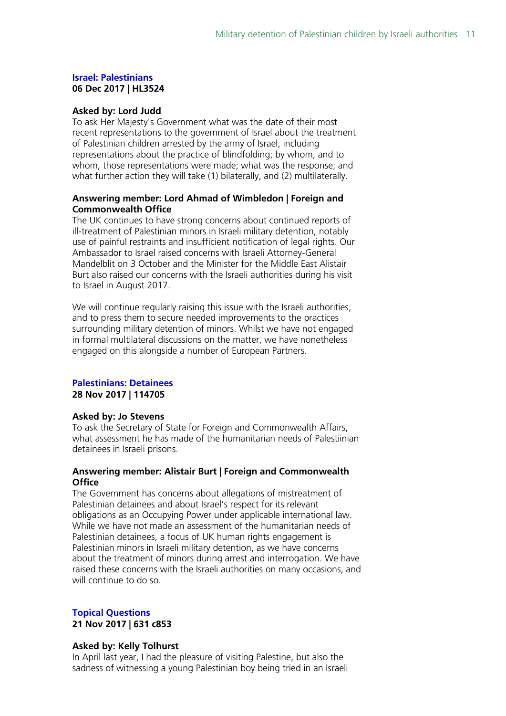#### **[Israel: Palestinians](http://www.parliament.uk/written-questions-answers-statements/written-question/lords/2017-11-23/HL3524) 06 Dec 2017 | HL3524**

#### **Asked by: Lord Judd**

To ask Her Majesty's Government what was the date of their most recent representations to the government of Israel about the treatment of Palestinian children arrested by the army of Israel, including representations about the practice of blindfolding; by whom, and to whom, those representations were made; what was the response; and what further action they will take (1) bilaterally, and (2) multilaterally.

#### **Answering member: Lord Ahmad of Wimbledon | Foreign and Commonwealth Office**

The UK continues to have strong concerns about continued reports of ill-treatment of Palestinian minors in Israeli military detention, notably use of painful restraints and insufficient notification of legal rights. Our Ambassador to Israel raised concerns with Israeli Attorney-General Mandelblit on 3 October and the Minister for the Middle East Alistair Burt also raised our concerns with the Israeli authorities during his visit to Israel in August 2017.

We will continue regularly raising this issue with the Israeli authorities, and to press them to secure needed improvements to the practices surrounding military detention of minors. Whilst we have not engaged in formal multilateral discussions on the matter, we have nonetheless engaged on this alongside a number of European Partners.

## **[Palestinians: Detainees](http://www.parliament.uk/written-questions-answers-statements/written-question/commons/2017-11-20/114705)**

**28 Nov 2017 | 114705**

#### **Asked by: Jo Stevens**

To ask the Secretary of State for Foreign and Commonwealth Affairs, what assessment he has made of the humanitarian needs of Palestiinian detainees in Israeli prisons.

#### **Answering member: Alistair Burt | Foreign and Commonwealth Office**

The Government has concerns about allegations of mistreatment of Palestinian detainees and about Israel's respect for its relevant obligations as an Occupying Power under applicable international law. While we have not made an assessment of the humanitarian needs of Palestinian detainees, a focus of UK human rights engagement is Palestinian minors in Israeli military detention, as we have concerns about the treatment of minors during arrest and interrogation. We have raised these concerns with the Israeli authorities on many occasions, and will continue to do so.

#### **[Topical Questions](https://hansard.parliament.uk/pa/cm201719/cmhansrd/cm171121/debtext/171121-0001.htm#0E74383D-22A5-4BE8-B518-8F6B8CF119B9) 21 Nov 2017 | 631 c853**

## **Asked by: Kelly Tolhurst**

In April last year, I had the pleasure of visiting Palestine, but also the sadness of witnessing a young Palestinian boy being tried in an Israeli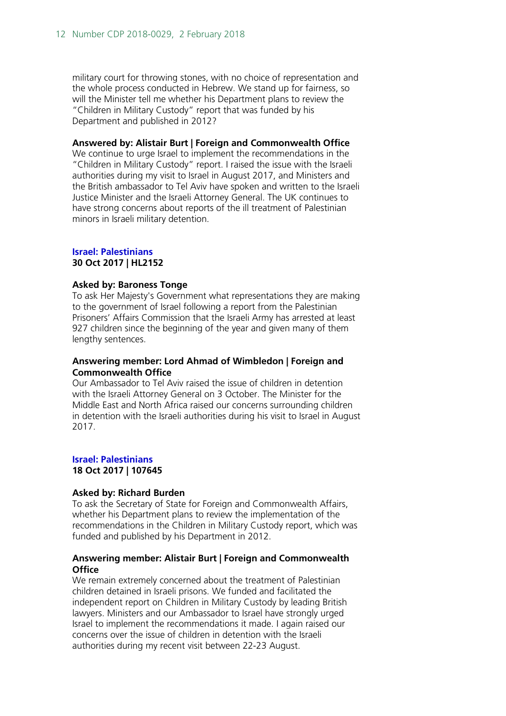military court for throwing stones, with no choice of representation and the whole process conducted in Hebrew. We stand up for fairness, so will the Minister tell me whether his Department plans to review the "Children in Military Custody" report that was funded by his Department and published in 2012?

#### **Answered by: Alistair Burt | Foreign and Commonwealth Office**

We continue to urge Israel to implement the recommendations in the "Children in Military Custody" report. I raised the issue with the Israeli authorities during my visit to Israel in August 2017, and Ministers and the British ambassador to Tel Aviv have spoken and written to the Israeli Justice Minister and the Israeli Attorney General. The UK continues to have strong concerns about reports of the ill treatment of Palestinian minors in Israeli military detention.

#### **[Israel: Palestinians](http://www.parliament.uk/written-questions-answers-statements/written-question/lords/2017-10-17/HL2152) 30 Oct 2017 | HL2152**

#### **Asked by: Baroness Tonge**

To ask Her Majesty's Government what representations they are making to the government of Israel following a report from the Palestinian Prisoners' Affairs Commission that the Israeli Army has arrested at least 927 children since the beginning of the year and given many of them lengthy sentences.

#### **Answering member: Lord Ahmad of Wimbledon | Foreign and Commonwealth Office**

Our Ambassador to Tel Aviv raised the issue of children in detention with the Israeli Attorney General on 3 October. The Minister for the Middle East and North Africa raised our concerns surrounding children in detention with the Israeli authorities during his visit to Israel in August 2017.

#### **[Israel: Palestinians](http://www.parliament.uk/written-questions-answers-statements/written-question/commons/2017-10-13/107645) 18 Oct 2017 | 107645**

#### **Asked by: Richard Burden**

To ask the Secretary of State for Foreign and Commonwealth Affairs, whether his Department plans to review the implementation of the recommendations in the Children in Military Custody report, which was funded and published by his Department in 2012.

#### **Answering member: Alistair Burt | Foreign and Commonwealth Office**

We remain extremely concerned about the treatment of Palestinian children detained in Israeli prisons. We funded and facilitated the independent report on Children in Military Custody by leading British lawyers. Ministers and our Ambassador to Israel have strongly urged Israel to implement the recommendations it made. I again raised our concerns over the issue of children in detention with the Israeli authorities during my recent visit between 22-23 August.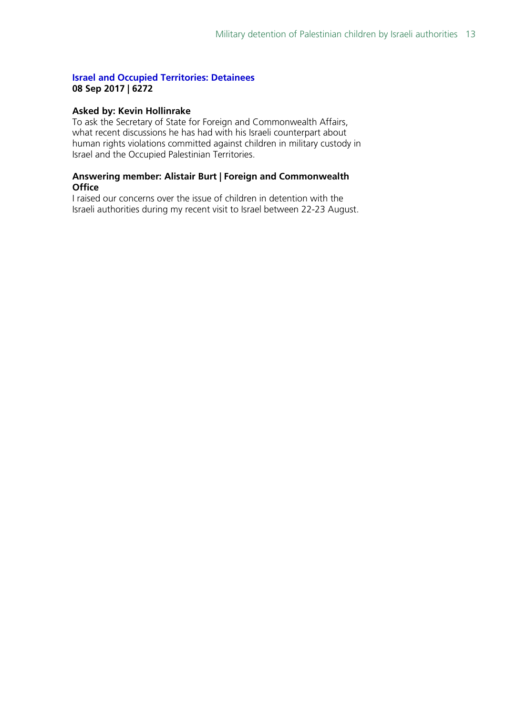#### **[Israel and Occupied Territories: Detainees](http://www.parliament.uk/written-questions-answers-statements/written-question/commons/2017-07-19/6272) 08 Sep 2017 | 6272**

#### **Asked by: Kevin Hollinrake**

To ask the Secretary of State for Foreign and Commonwealth Affairs, what recent discussions he has had with his Israeli counterpart about human rights violations committed against children in military custody in Israel and the Occupied Palestinian Territories.

#### **Answering member: Alistair Burt | Foreign and Commonwealth Office**

I raised our concerns over the issue of children in detention with the Israeli authorities during my recent visit to Israel between 22-23 August.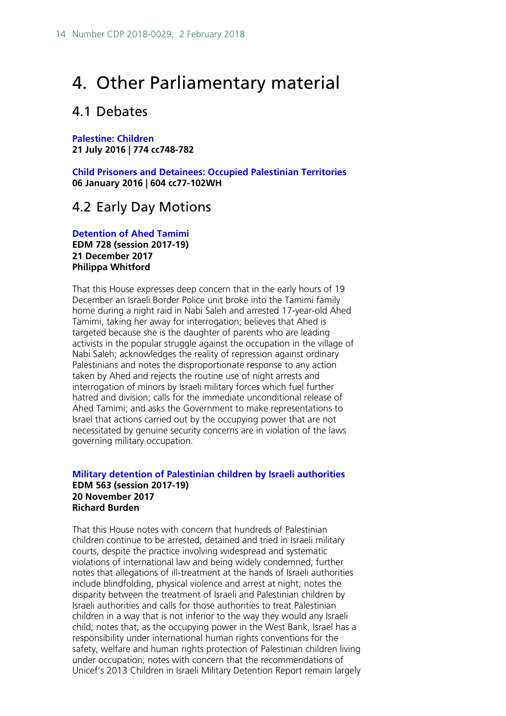## <span id="page-13-0"></span>4. Other Parliamentary material

### <span id="page-13-1"></span>4.1 Debates

**[Palestine: Children](https://hansard.parliament.uk/pa/ld201617/ldhansrd/text/160721-0001.htm#4F284670-8EEC-4811-87AA-0CA08185852A) 21 July 2016 | 774 cc748-782**

**[Child Prisoners and Detainees: Occupied Palestinian](http://www.publications.parliament.uk/pa/cm201516/cmhansrd/cm160106/halltext/160106h0001.htm#16010636000001) Territories 06 January 2016 | 604 cc77-102WH**

### <span id="page-13-2"></span>4.2 Early Day Motions

**[Detention of Ahed Tamimi](http://www.parliament.uk/edm/2017-19/728) EDM 728 (session 2017-19) 21 December 2017 Philippa Whitford**

That this House expresses deep concern that in the early hours of 19 December an Israeli Border Police unit broke into the Tamimi family home during a night raid in Nabi Saleh and arrested 17-year-old Ahed Tamimi, taking her away for interrogation; believes that Ahed is targeted because she is the daughter of parents who are leading activists in the popular struggle against the occupation in the village of Nabi Saleh; acknowledges the reality of repression against ordinary Palestinians and notes the disproportionate response to any action taken by Ahed and rejects the routine use of night arrests and interrogation of minors by Israeli military forces which fuel further hatred and division; calls for the immediate unconditional release of Ahed Tamimi; and asks the Government to make representations to Israel that actions carried out by the occupying power that are not necessitated by genuine security concerns are in violation of the laws governing military occupation.

#### **[Military detention of Palestinian](http://www.parliament.uk/edm/2017-19/563) children by Israeli authorities EDM 563 (session 2017-19) 20 November 2017 Richard Burden**

That this House notes with concern that hundreds of Palestinian children continue to be arrested, detained and tried in Israeli military courts, despite the practice involving widespread and systematic violations of international law and being widely condemned; further notes that allegations of ill-treatment at the hands of Israeli authorities include blindfolding, physical violence and arrest at night; notes the disparity between the treatment of Israeli and Palestinian children by Israeli authorities and calls for those authorities to treat Palestinian children in a way that is not inferior to the way they would any Israeli child; notes that, as the occupying power in the West Bank, Israel has a responsibility under international human rights conventions for the safety, welfare and human rights protection of Palestinian children living under occupation; notes with concern that the recommendations of Unicef's 2013 Children in Israeli Military Detention Report remain largely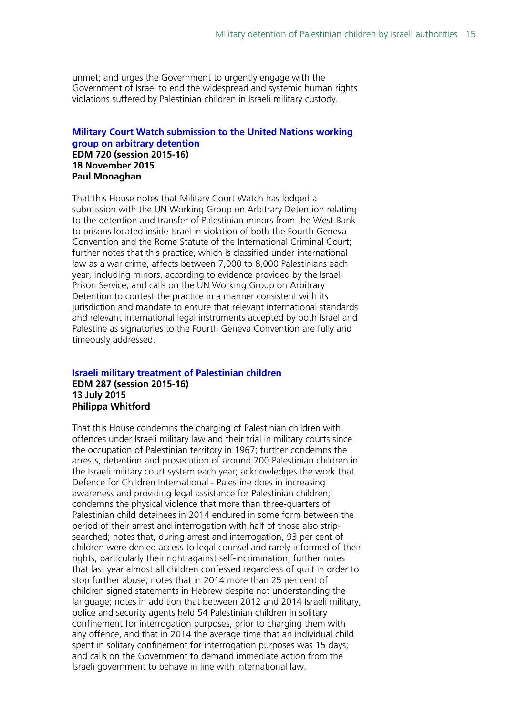unmet; and urges the Government to urgently engage with the Government of Israel to end the widespread and systemic human rights violations suffered by Palestinian children in Israeli military custody.

#### **[Military Court Watch submission to the United Nations working](http://www.parliament.uk/edm/2015-16/720)  [group on arbitrary detention](http://www.parliament.uk/edm/2015-16/720) EDM 720 (session 2015-16) 18 November 2015 Paul Monaghan**

That this House notes that Military Court Watch has lodged a submission with the UN Working Group on Arbitrary Detention relating to the detention and transfer of Palestinian minors from the West Bank to prisons located inside Israel in violation of both the Fourth Geneva Convention and the Rome Statute of the International Criminal Court; further notes that this practice, which is classified under international law as a war crime, affects between 7,000 to 8,000 Palestinians each year, including minors, according to evidence provided by the Israeli Prison Service; and calls on the UN Working Group on Arbitrary Detention to contest the practice in a manner consistent with its jurisdiction and mandate to ensure that relevant international standards and relevant international legal instruments accepted by both Israel and Palestine as signatories to the Fourth Geneva Convention are fully and timeously addressed.

#### **[Israeli military treatment of Palestinian](http://www.parliament.uk/edm/2015-16/287) children EDM 287 (session 2015-16) 13 July 2015 Philippa Whitford**

That this House condemns the charging of Palestinian children with offences under Israeli military law and their trial in military courts since the occupation of Palestinian territory in 1967; further condemns the arrests, detention and prosecution of around 700 Palestinian children in the Israeli military court system each year; acknowledges the work that Defence for Children International - Palestine does in increasing awareness and providing legal assistance for Palestinian children; condemns the physical violence that more than three-quarters of Palestinian child detainees in 2014 endured in some form between the period of their arrest and interrogation with half of those also stripsearched; notes that, during arrest and interrogation, 93 per cent of children were denied access to legal counsel and rarely informed of their rights, particularly their right against self-incrimination; further notes that last year almost all children confessed regardless of guilt in order to stop further abuse; notes that in 2014 more than 25 per cent of children signed statements in Hebrew despite not understanding the language; notes in addition that between 2012 and 2014 Israeli military, police and security agents held 54 Palestinian children in solitary confinement for interrogation purposes, prior to charging them with any offence, and that in 2014 the average time that an individual child spent in solitary confinement for interrogation purposes was 15 days; and calls on the Government to demand immediate action from the Israeli government to behave in line with international law.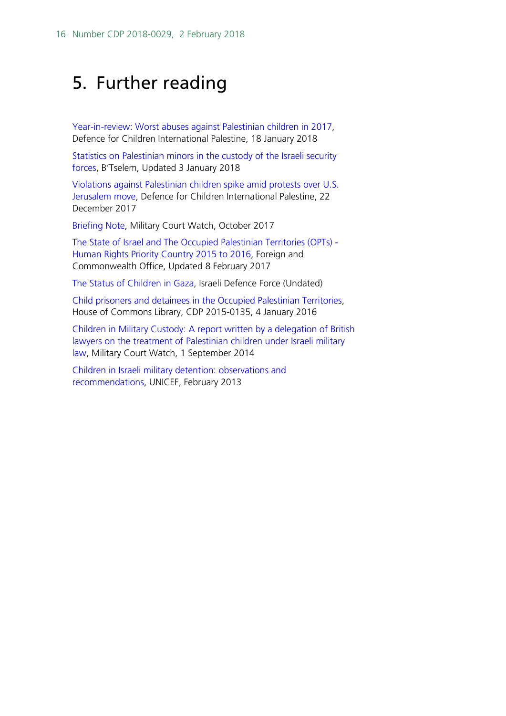## <span id="page-15-0"></span>5. Further reading

[Year-in-review: Worst abuses against Palestinian children in 2017,](http://www.dci-palestine.org/year_in_review_worst_abuses_against_palestinian_children_in_2017) Defence for Children International Palestine, 18 January 2018

[Statistics on Palestinian minors in the custody of the Israeli security](https://www.btselem.org/statistics/minors_in_custody)  [forces,](https://www.btselem.org/statistics/minors_in_custody) B'Tselem, Updated 3 January 2018

[Violations against Palestinian children spike amid protests over U.S.](http://www.dci-palestine.org/violations_against_palestinian_children_spike_amid_protests_over_u_s_jerusalem_move)  [Jerusalem move,](http://www.dci-palestine.org/violations_against_palestinian_children_spike_amid_protests_over_u_s_jerusalem_move) Defence for Children International Palestine, 22 December 2017

[Briefing Note,](http://www.militarycourtwatch.org/files/server/BRIEFING%20PAPER%20-%20OCT%202017%20-%20FINAL.pdf) Military Court Watch, October 2017

[The State of Israel and The Occupied Palestinian Territories \(OPTs\) -](https://www.gov.uk/government/publications/the-state-of-israel-and-the-occupied-palestinian-territories-opts-human-rights-priority-country) [Human Rights Priority Country 2015 to 2016,](https://www.gov.uk/government/publications/the-state-of-israel-and-the-occupied-palestinian-territories-opts-human-rights-priority-country) Foreign and Commonwealth Office, Updated 8 February 2017

[The Status of Children in Gaza,](https://www.idf.il/en/minisites/facts-and-figures/hamas/the-status-of-children-in-gaza/) Israeli Defence Force (Undated)

[Child prisoners and detainees in the Occupied Palestinian Territories,](http://researchbriefings.intranet.parliament.uk/ResearchBriefing/Summary/CDP-2015-0135) House of Commons Library, CDP 2015-0135, 4 January 2016

[Children in Military Custody: A report written by a delegation of British](http://www.militarycourtwatch.org/files/server/CHILDREN%20IN%20MILITARY%20CUSTODY%20-%202%20YEARS%20ON%20(1).pdf)  [lawyers on the treatment of Palestinian children under Israeli military](http://www.militarycourtwatch.org/files/server/CHILDREN%20IN%20MILITARY%20CUSTODY%20-%202%20YEARS%20ON%20(1).pdf)  [law,](http://www.militarycourtwatch.org/files/server/CHILDREN%20IN%20MILITARY%20CUSTODY%20-%202%20YEARS%20ON%20(1).pdf) Military Court Watch, 1 September 2014

[Children in Israeli military detention: observations and](https://www.unicef.org/oPt/UNICEF_oPt_Children_in_Israeli_Military_Detention_Observations_and_Recommendations_-_6_March_2013.pdf)  [recommendations,](https://www.unicef.org/oPt/UNICEF_oPt_Children_in_Israeli_Military_Detention_Observations_and_Recommendations_-_6_March_2013.pdf) UNICEF, February 2013